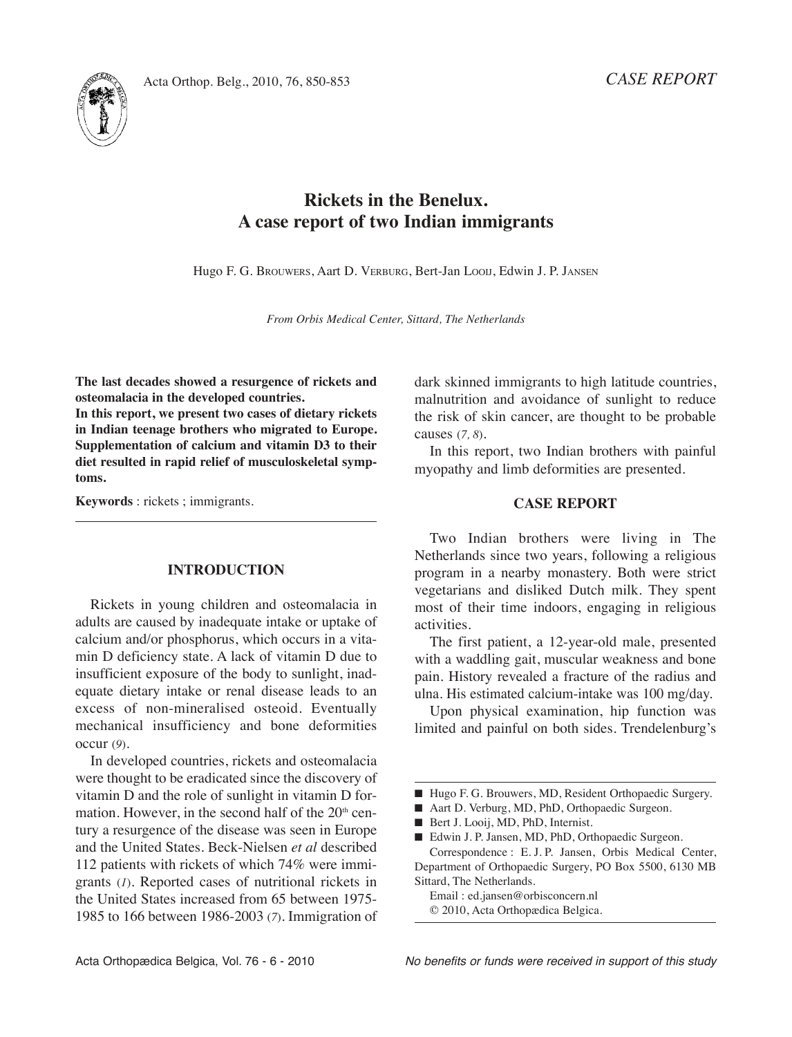

# **Rickets in the Benelux. A case report of two Indian immigrants**

Hugo F. G. BROuwERS, Aart D. VERBuRG, Bert-Jan LOOIJ, Edwin J. P. JANSEN

*From Orbis Medical Center, Sittard, The Netherlands*

**The last decades showed a resurgence of rickets and osteomalacia in the developed countries.**

**In this report, we present two cases of dietary rickets in Indian teenage brothers who migrated to Europe. Supplementation of calcium and vitamin D3 to their diet resulted in rapid relief of musculoskeletal symptoms.**

**Keywords** : rickets ; immigrants.

### **INTRODUCTION**

Rickets in young children and osteomalacia in adults are caused by inadequate intake or uptake of calcium and/or phosphorus, which occurs in a vitamin D deficiency state. A lack of vitamin D due to insufficient exposure of the body to sunlight, inadequate dietary intake or renal disease leads to an excess of non-mineralised osteoid. Eventually mechanical insufficiency and bone deformities occur (*9*).

In developed countries, rickets and osteomalacia were thought to be eradicated since the discovery of vitamin D and the role of sunlight in vitamin D formation. However, in the second half of the  $20<sup>th</sup>$  century a resurgence of the disease was seen in Europe and the United States. Beck-Nielsen et al described 112 patients with rickets of which 74% were immigrants (*1*). Reported cases of nutritional rickets in the United States increased from 65 between 1975-1985 to 166 between 1986-2003 (*7*). Immigration of dark skinned immigrants to high latitude countries, malnutrition and avoidance of sunlight to reduce the risk of skin cancer, are thought to be probable causes (*7, 8*).

In this report, two Indian brothers with painful myopathy and limb deformities are presented.

#### **CASE REPORT**

Two Indian brothers were living in The Netherlands since two years, following a religious program in a nearby monastery. Both were strict vegetarians and disliked Dutch milk. They spent most of their time indoors, engaging in religious activities.

The first patient, a 12-year-old male, presented with a waddling gait, muscular weakness and bone pain. History revealed a fracture of the radius and ulna. His estimated calcium-intake was 100 mg/day.

Upon physical examination, hip function was limited and painful on both sides. Trendelenburg's

■ Edwin J. P. Jansen, MD, PhD, Orthopaedic Surgeon. Correspondence : E. J. P. Jansen, Orbis Medical Center, Department of Orthopaedic Surgery, PO Box 5500, 6130 MB Sittard, The Netherlands.

Email : ed.jansen@orbisconcern.nl © 2010, Acta Orthopædica Belgica.

<sup>■</sup> Hugo F. G. Brouwers, MD, Resident Orthopaedic Surgery.

<sup>■</sup> Aart D. Verburg, MD, PhD, Orthopaedic Surgeon.

Bert J. Looij, MD, PhD, Internist.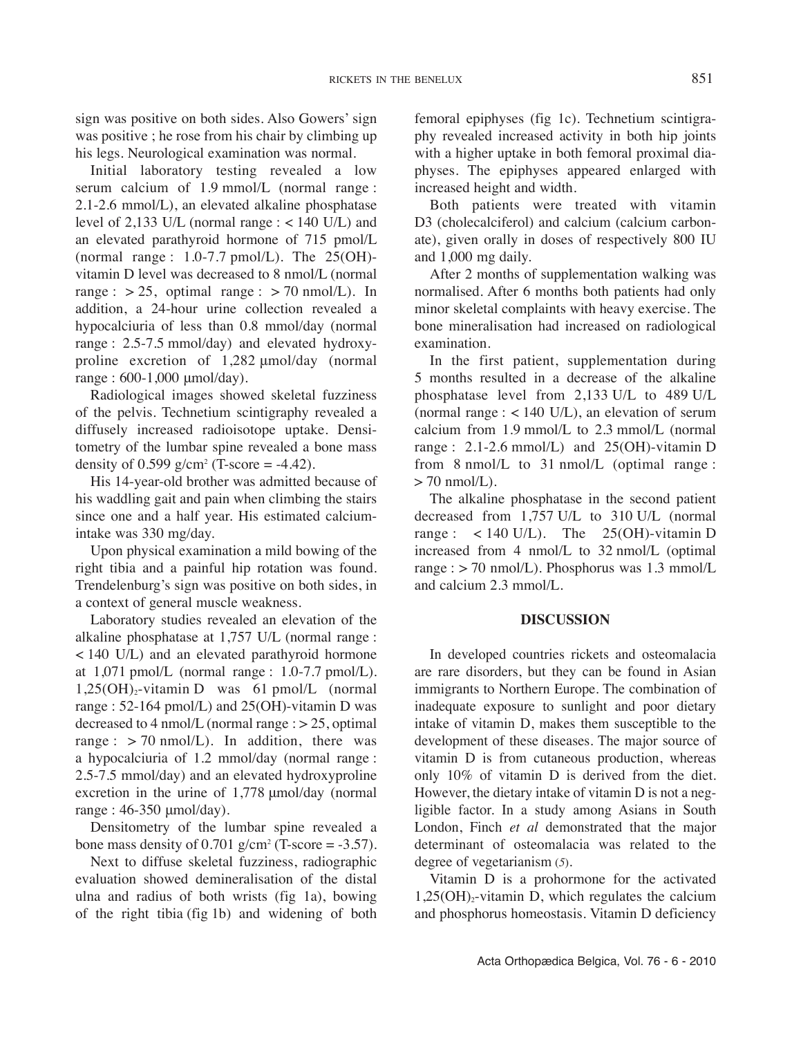sign was positive on both sides. Also Gowers' sign was positive ; he rose from his chair by climbing up his legs. Neurological examination was normal.

Initial laboratory testing revealed a low serum calcium of 1.9 mmol/L (normal range : 2.1-2.6 mmol/L), an elevated alkaline phosphatase level of 2,133 U/L (normal range  $:$  < 140 U/L) and an elevated parathyroid hormone of 715 pmol/L (normal range :  $1.0$ -7.7 pmol/L). The  $25(OH)$ vitamin D level was decreased to 8 nmol/L (normal range :  $> 25$ , optimal range :  $> 70$  nmol/L). In addition, a 24-hour urine collection revealed a hypocalciuria of less than 0.8 mmol/day (normal range : 2.5-7.5 mmol/day) and elevated hydroxyproline excretion of 1,282 μmol/day (normal range : 600-1,000 μmol/day).

Radiological images showed skeletal fuzziness of the pelvis. Technetium scintigraphy revealed a diffusely increased radioisotope uptake. Densitometry of the lumbar spine revealed a bone mass density of  $0.599$  g/cm<sup>2</sup> (T-score = -4.42).

His 14-year-old brother was admitted because of his waddling gait and pain when climbing the stairs since one and a half year. His estimated calciumintake was 330 mg/day.

upon physical examination a mild bowing of the right tibia and a painful hip rotation was found. Trendelenburg's sign was positive on both sides, in a context of general muscle weakness.

Laboratory studies revealed an elevation of the alkaline phosphatase at 1,757 u/L (normal range :  $<$  140 U/L) and an elevated parathyroid hormone at  $1,071$  pmol/L (normal range :  $1.0-7.7$  pmol/L).  $1,25(OH)<sub>2</sub>$ -vitamin D was 61 pmol/L (normal range : 52-164 pmol/L) and 25(OH)-vitamin D was decreased to 4 nmol/L (normal range  $\approx$  25, optimal range :  $> 70$  nmol/L). In addition, there was a hypocalciuria of 1.2 mmol/day (normal range : 2.5-7.5 mmol/day) and an elevated hydroxyproline excretion in the urine of 1,778 μmol/day (normal range : 46-350 μmol/day).

Densitometry of the lumbar spine revealed a bone mass density of  $0.701$  g/cm<sup>2</sup> (T-score = -3.57).

Next to diffuse skeletal fuzziness, radiographic evaluation showed demineralisation of the distal ulna and radius of both wrists (fig 1a), bowing of the right tibia (fig 1b) and widening of both

femoral epiphyses (fig 1c). Technetium scintigraphy revealed increased activity in both hip joints with a higher uptake in both femoral proximal diaphyses. The epiphyses appeared enlarged with increased height and width.

Both patients were treated with vitamin D<sub>3</sub> (cholecalciferol) and calcium (calcium carbonate), given orally in doses of respectively 800 Iu and 1,000 mg daily.

After 2 months of supplementation walking was normalised. After 6 months both patients had only minor skeletal complaints with heavy exercise. The bone mineralisation had increased on radiological examination.

In the first patient, supplementation during 5 months resulted in a decrease of the alkaline phosphatase level from 2,133 U/L to 489 U/L (normal range  $:$  < 140 U/L), an elevation of serum calcium from 1.9 mmol/L to 2.3 mmol/L (normal range : 2.1-2.6 mmol/L) and 25(OH)-vitamin D from 8 nmol/L to 31 nmol/L (optimal range :  $> 70$  nmol/L).

The alkaline phosphatase in the second patient decreased from 1,757 U/L to 310 U/L (normal range :  $\lt$  140 U/L). The 25(OH)-vitamin D increased from 4 nmol/L to 32 nmol/L (optimal range :  $>$  70 nmol/L). Phosphorus was 1.3 mmol/L and calcium 2.3 mmol/L.

## **DISCUSSION**

In developed countries rickets and osteomalacia are rare disorders, but they can be found in Asian immigrants to Northern Europe. The combination of inadequate exposure to sunlight and poor dietary intake of vitamin D, makes them susceptible to the development of these diseases. The major source of vitamin D is from cutaneous production, whereas only 10% of vitamin D is derived from the diet. However, the dietary intake of vitamin D is not a negligible factor. In a study among Asians in South London, Finch *et al* demonstrated that the major determinant of osteomalacia was related to the degree of vegetarianism (*5*).

Vitamin D is a prohormone for the activated  $1,25(OH)<sub>2</sub>$ -vitamin D, which regulates the calcium and phosphorus homeostasis. Vitamin D deficiency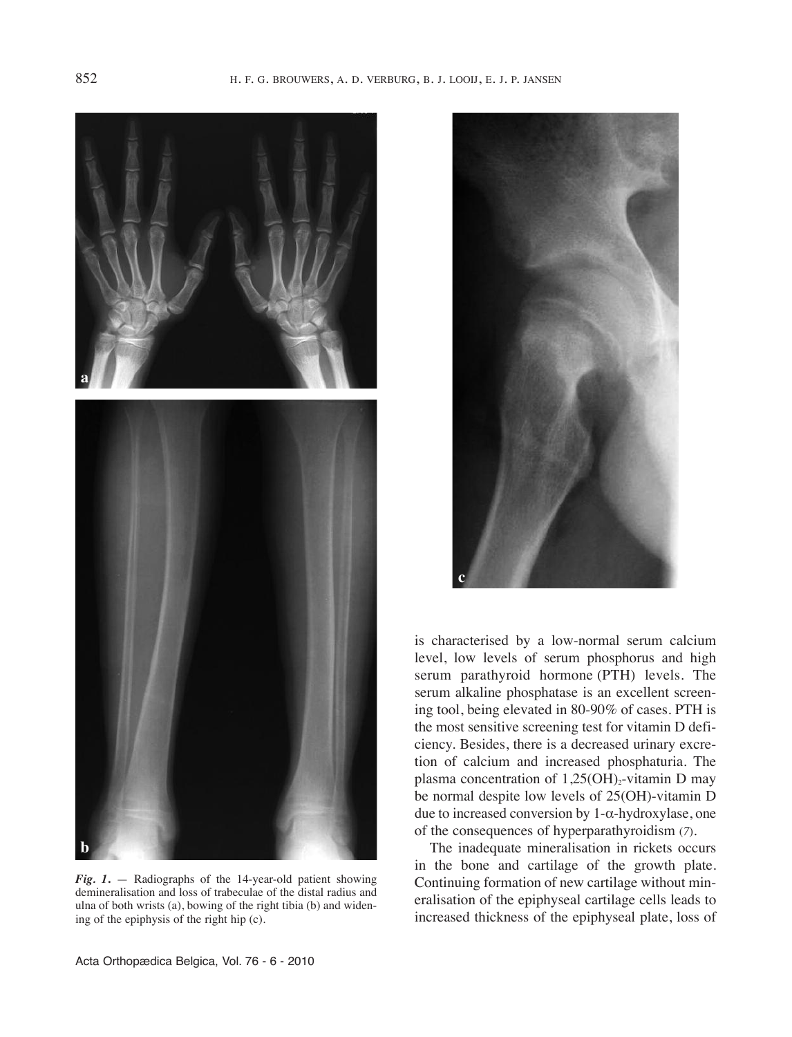

*Fig. 1***.** — Radiographs of the 14-year-old patient showing demineralisation and loss of trabeculae of the distal radius and ulna of both wrists (a), bowing of the right tibia (b) and widening of the epiphysis of the right hip (c).



is characterised by a low-normal serum calcium level, low levels of serum phosphorus and high serum parathyroid hormone (PTH) levels. The serum alkaline phosphatase is an excellent screening tool, being elevated in 80-90% of cases. PTH is the most sensitive screening test for vitamin D deficiency. Besides, there is a decreased urinary excretion of calcium and increased phosphaturia. The plasma concentration of  $1,25(OH)_{2}$ -vitamin D may be normal despite low levels of 25(OH)-vitamin D due to increased conversion by 1-α-hydroxylase, one of the consequences of hyperparathyroidism (*7*).

The inadequate mineralisation in rickets occurs in the bone and cartilage of the growth plate. Continuing formation of new cartilage without mineralisation of the epiphyseal cartilage cells leads to increased thickness of the epiphyseal plate, loss of